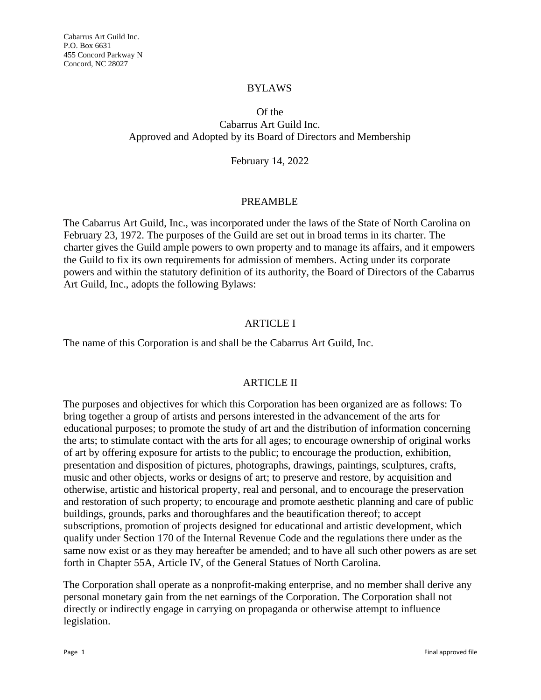#### BYLAWS

Of the

Cabarrus Art Guild Inc. Approved and Adopted by its Board of Directors and Membership

February 14, 2022

#### PREAMBLE

The Cabarrus Art Guild, Inc., was incorporated under the laws of the State of North Carolina on February 23, 1972. The purposes of the Guild are set out in broad terms in its charter. The charter gives the Guild ample powers to own property and to manage its affairs, and it empowers the Guild to fix its own requirements for admission of members. Acting under its corporate powers and within the statutory definition of its authority, the Board of Directors of the Cabarrus Art Guild, Inc., adopts the following Bylaws:

### ARTICLE I

The name of this Corporation is and shall be the Cabarrus Art Guild, Inc.

### ARTICLE II

The purposes and objectives for which this Corporation has been organized are as follows: To bring together a group of artists and persons interested in the advancement of the arts for educational purposes; to promote the study of art and the distribution of information concerning the arts; to stimulate contact with the arts for all ages; to encourage ownership of original works of art by offering exposure for artists to the public; to encourage the production, exhibition, presentation and disposition of pictures, photographs, drawings, paintings, sculptures, crafts, music and other objects, works or designs of art; to preserve and restore, by acquisition and otherwise, artistic and historical property, real and personal, and to encourage the preservation and restoration of such property; to encourage and promote aesthetic planning and care of public buildings, grounds, parks and thoroughfares and the beautification thereof; to accept subscriptions, promotion of projects designed for educational and artistic development, which qualify under Section 170 of the Internal Revenue Code and the regulations there under as the same now exist or as they may hereafter be amended; and to have all such other powers as are set forth in Chapter 55A, Article IV, of the General Statues of North Carolina.

The Corporation shall operate as a nonprofit-making enterprise, and no member shall derive any personal monetary gain from the net earnings of the Corporation. The Corporation shall not directly or indirectly engage in carrying on propaganda or otherwise attempt to influence legislation.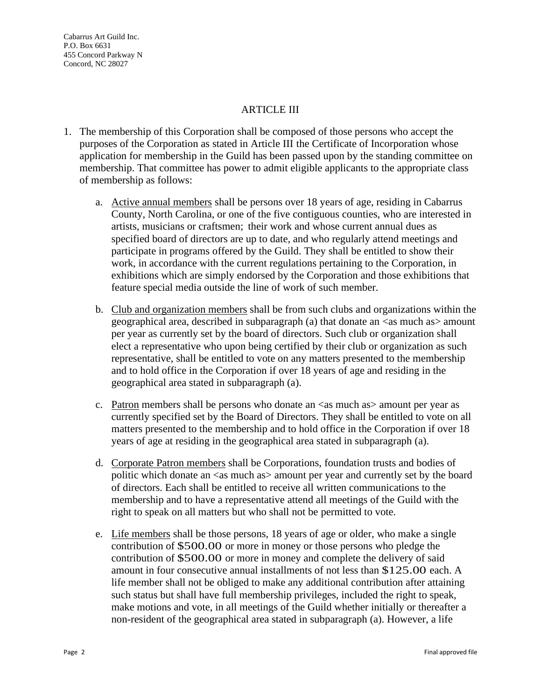Cabarrus Art Guild Inc. P.O. Box 6631 455 Concord Parkway N Concord, NC 28027

#### **ARTICLE III**

- 1. The membership of this Corporation shall be composed of those persons who accept the purposes of the Corporation as stated in Article III the Certificate of Incorporation whose application for membership in the Guild has been passed upon by the standing committee on membership. That committee has power to admit eligible applicants to the appropriate class of membership as follows:
	- a. Active annual members shall be persons over 18 years of age, residing in Cabarrus County, North Carolina, or one of the five contiguous counties, who are interested in artists, musicians or craftsmen; their work and whose current annual dues as specified board of directors are up to date, and who regularly attend meetings and participate in programs offered by the Guild. They shall be entitled to show their work, in accordance with the current regulations pertaining to the Corporation, in exhibitions which are simply endorsed by the Corporation and those exhibitions that feature special media outside the line of work of such member.
	- b. Club and organization members shall be from such clubs and organizations within the geographical area, described in subparagraph (a) that donate an  $\langle$ as much as $\rangle$  amount per year as currently set by the board of directors. Such club or organization shall elect a representative who upon being certified by their club or organization as such representative, shall be entitled to vote on any matters presented to the membership and to hold office in the Corporation if over 18 years of age and residing in the geographical area stated in subparagraph (a).
	- c. Patron members shall be persons who donate an  $\langle$  as much as amount per year as currently specified set by the Board of Directors. They shall be entitled to vote on all matters presented to the membership and to hold office in the Corporation if over 18 years of age at residing in the geographical area stated in subparagraph (a).
	- d. Corporate Patron members shall be Corporations, foundation trusts and bodies of politic which donate an <as much as> amount per year and currently set by the board of directors. Each shall be entitled to receive all written communications to the membership and to have a representative attend all meetings of the Guild with the right to speak on all matters but who shall not be permitted to vote.
	- e. Life members shall be those persons, 18 years of age or older, who make a single contribution of \$500.00 or more in money or those persons who pledge the contribution of \$500.00 or more in money and complete the delivery of said amount in four consecutive annual installments of not less than \$125.00 each. A life member shall not be obliged to make any additional contribution after attaining such status but shall have full membership privileges, included the right to speak, make motions and vote, in all meetings of the Guild whether initially or thereafter a non-resident of the geographical area stated in subparagraph (a). However, a life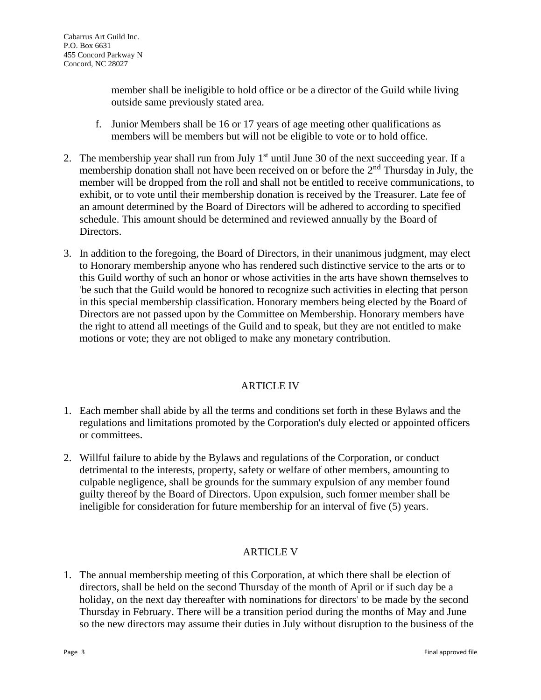member shall be ineligible to hold office or be a director of the Guild while living outside same previously stated area.

- f. Junior Members shall be 16 or 17 years of age meeting other qualifications as members will be members but will not be eligible to vote or to hold office.
- 2. The membership year shall run from July  $1<sup>st</sup>$  until June 30 of the next succeeding year. If a membership donation shall not have been received on or before the 2<sup>nd</sup> Thursday in July, the member will be dropped from the roll and shall not be entitled to receive communications, to exhibit, or to vote until their membership donation is received by the Treasurer. Late fee of an amount determined by the Board of Directors will be adhered to according to specified schedule. This amount should be determined and reviewed annually by the Board of Directors.
- 3. In addition to the foregoing, the Board of Directors, in their unanimous judgment, may elect to Honorary membership anyone who has rendered such distinctive service to the arts or to this Guild worthy of such an honor or whose activities in the arts have shown themselves to 'be such that the Guild would be honored to recognize such activities in electing that person in this special membership classification. Honorary members being elected by the Board of Directors are not passed upon by the Committee on Membership. Honorary members have the right to attend all meetings of the Guild and to speak, but they are not entitled to make motions or vote; they are not obliged to make any monetary contribution.

## ARTICLE IV

- 1. Each member shall abide by all the terms and conditions set forth in these Bylaws and the regulations and limitations promoted by the Corporation's duly elected or appointed officers or committees.
- 2. Willful failure to abide by the Bylaws and regulations of the Corporation, or conduct detrimental to the interests, property, safety or welfare of other members, amounting to culpable negligence, shall be grounds for the summary expulsion of any member found guilty thereof by the Board of Directors. Upon expulsion, such former member shall be ineligible for consideration for future membership for an interval of five (5) years.

## ARTICLE V

1. The annual membership meeting of this Corporation, at which there shall be election of directors, shall be held on the second Thursday of the month of April or if such day be a holiday, on the next day thereafter with nominations for directors' to be made by the second Thursday in February. There will be a transition period during the months of May and June so the new directors may assume their duties in July without disruption to the business of the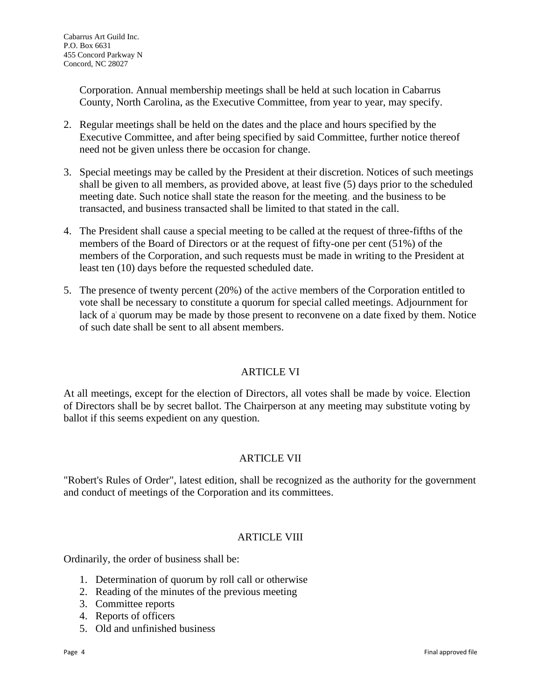Corporation. Annual membership meetings shall be held at such location in Cabarrus County, North Carolina, as the Executive Committee, from year to year, may specify.

- 2. Regular meetings shall be held on the dates and the place and hours specified by the Executive Committee, and after being specified by said Committee, further notice thereof need not be given unless there be occasion for change.
- 3. Special meetings may be called by the President at their discretion. Notices of such meetings shall be given to all members, as provided above, at least five (5) days prior to the scheduled meeting date. Such notice shall state the reason for the meeting, and the business to be transacted, and business transacted shall be limited to that stated in the call.
- 4. The President shall cause a special meeting to be called at the request of three-fifths of the members of the Board of Directors or at the request of fifty-one per cent (51%) of the members of the Corporation, and such requests must be made in writing to the President at least ten (10) days before the requested scheduled date.
- 5. The presence of twenty percent (20%) of the active members of the Corporation entitled to vote shall be necessary to constitute a quorum for special called meetings. Adjournment for lack of a' quorum may be made by those present to reconvene on a date fixed by them. Notice of such date shall be sent to all absent members.

## ARTICLE VI

At all meetings, except for the election of Directors, all votes shall be made by voice. Election of Directors shall be by secret ballot. The Chairperson at any meeting may substitute voting by ballot if this seems expedient on any question.

## ARTICLE VII

"Robert's Rules of Order", latest edition, shall be recognized as the authority for the government and conduct of meetings of the Corporation and its committees.

## **ARTICLE VIII**

Ordinarily, the order of business shall be:

- 1. Determination of quorum by roll call or otherwise
- 2. Reading of the minutes of the previous meeting
- 3. Committee reports
- 4. Reports of officers
- 5. Old and unfinished business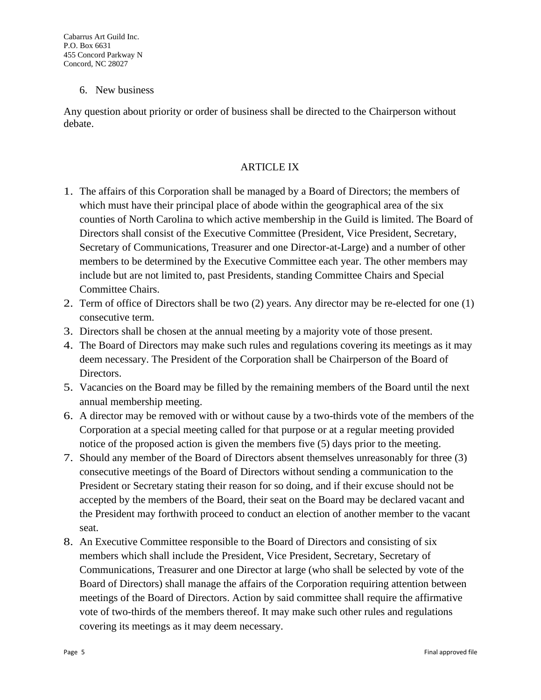### 6. New business

Any question about priority or order of business shall be directed to the Chairperson without debate.

### ARTICLE IX

- 1. The affairs of this Corporation shall be managed by a Board of Directors; the members of which must have their principal place of abode within the geographical area of the six counties of North Carolina to which active membership in the Guild is limited. The Board of Directors shall consist of the Executive Committee (President, Vice President, Secretary, Secretary of Communications, Treasurer and one Director-at-Large) and a number of other members to be determined by the Executive Committee each year. The other members may include but are not limited to, past Presidents, standing Committee Chairs and Special Committee Chairs.
- 2. Term of office of Directors shall be two (2) years. Any director may be re-elected for one (1) consecutive term.
- 3. Directors shall be chosen at the annual meeting by a majority vote of those present.
- 4. The Board of Directors may make such rules and regulations covering its meetings as it may deem necessary. The President of the Corporation shall be Chairperson of the Board of Directors.
- 5. Vacancies on the Board may be filled by the remaining members of the Board until the next annual membership meeting.
- 6. A director may be removed with or without cause by a two-thirds vote of the members of the Corporation at a special meeting called for that purpose or at a regular meeting provided notice of the proposed action is given the members five (5) days prior to the meeting.
- 7. Should any member of the Board of Directors absent themselves unreasonably for three (3) consecutive meetings of the Board of Directors without sending a communication to the President or Secretary stating their reason for so doing, and if their excuse should not be accepted by the members of the Board, their seat on the Board may be declared vacant and the President may forthwith proceed to conduct an election of another member to the vacant seat.
- 8. An Executive Committee responsible to the Board of Directors and consisting of six members which shall include the President, Vice President, Secretary, Secretary of Communications, Treasurer and one Director at large (who shall be selected by vote of the Board of Directors) shall manage the affairs of the Corporation requiring attention between meetings of the Board of Directors. Action by said committee shall require the affirmative vote of two-thirds of the members thereof. It may make such other rules and regulations covering its meetings as it may deem necessary.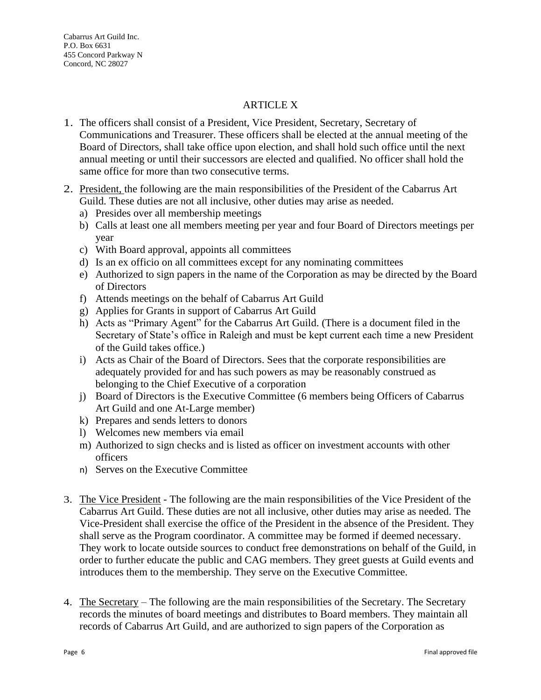### **ARTICLE X**

- 1. The officers shall consist of a President, Vice President, Secretary, Secretary of Communications and Treasurer. These officers shall be elected at the annual meeting of the Board of Directors, shall take office upon election, and shall hold such office until the next annual meeting or until their successors are elected and qualified. No officer shall hold the same office for more than two consecutive terms.
- 2. President, the following are the main responsibilities of the President of the Cabarrus Art Guild. These duties are not all inclusive, other duties may arise as needed.
	- a) Presides over all membership meetings
	- b) Calls at least one all members meeting per year and four Board of Directors meetings per year
	- c) With Board approval, appoints all committees
	- d) Is an ex officio on all committees except for any nominating committees
	- e) Authorized to sign papers in the name of the Corporation as may be directed by the Board of Directors
	- f) Attends meetings on the behalf of Cabarrus Art Guild
	- g) Applies for Grants in support of Cabarrus Art Guild
	- h) Acts as "Primary Agent" for the Cabarrus Art Guild. (There is a document filed in the Secretary of State's office in Raleigh and must be kept current each time a new President of the Guild takes office.)
	- i) Acts as Chair of the Board of Directors. Sees that the corporate responsibilities are adequately provided for and has such powers as may be reasonably construed as belonging to the Chief Executive of a corporation
	- j) Board of Directors is the Executive Committee (6 members being Officers of Cabarrus Art Guild and one At-Large member)
	- k) Prepares and sends letters to donors
	- l) Welcomes new members via email
	- m) Authorized to sign checks and is listed as officer on investment accounts with other officers
	- n) Serves on the Executive Committee
- 3. The Vice President The following are the main responsibilities of the Vice President of the Cabarrus Art Guild. These duties are not all inclusive, other duties may arise as needed. The Vice-President shall exercise the office of the President in the absence of the President. They shall serve as the Program coordinator. A committee may be formed if deemed necessary. They work to locate outside sources to conduct free demonstrations on behalf of the Guild, in order to further educate the public and CAG members. They greet guests at Guild events and introduces them to the membership. They serve on the Executive Committee.
- 4. The Secretary The following are the main responsibilities of the Secretary. The Secretary records the minutes of board meetings and distributes to Board members. They maintain all records of Cabarrus Art Guild, and are authorized to sign papers of the Corporation as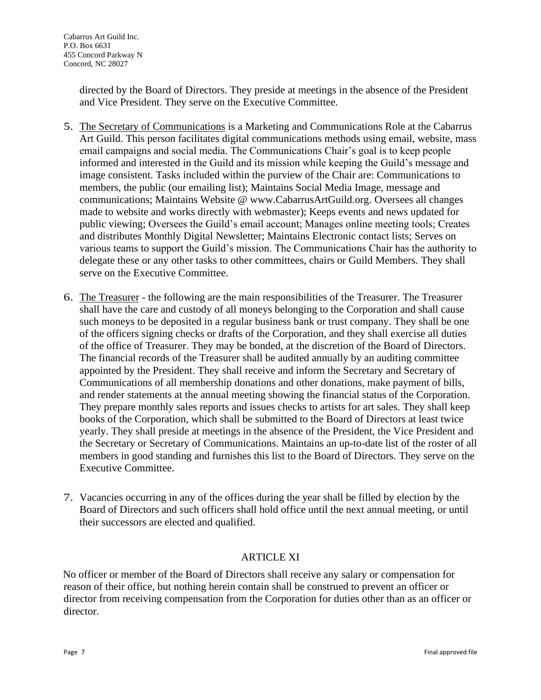directed by the Board of Directors. They preside at meetings in the absence of the President and Vice President. They serve on the Executive Committee.

- 5. The Secretary of Communications is a Marketing and Communications Role at the Cabarrus Art Guild. This person facilitates digital communications methods using email, website, mass email campaigns and social media. The Communications Chair's goal is to keep people informed and interested in the Guild and its mission while keeping the Guild's message and image consistent. Tasks included within the purview of the Chair are: Communications to members, the public (our emailing list); Maintains Social Media Image, message and communications; Maintains Website @ www.CabarrusArtGuild.org. Oversees all changes made to website and works directly with webmaster); Keeps events and news updated for public viewing; Oversees the Guild's email account; Manages online meeting tools; Creates and distributes Monthly Digital Newsletter; Maintains Electronic contact lists; Serves on various teams to support the Guild's mission. The Communications Chair has the authority to delegate these or any other tasks to other committees, chairs or Guild Members. They shall serve on the Executive Committee.
- 6. The Treasurer the following are the main responsibilities of the Treasurer. The Treasurer shall have the care and custody of all moneys belonging to the Corporation and shall cause such moneys to be deposited in a regular business bank or trust company. They shall be one of the officers signing checks or drafts of the Corporation, and they shall exercise all duties of the office of Treasurer. They may be bonded, at the discretion of the Board of Directors. The financial records of the Treasurer shall be audited annually by an auditing committee appointed by the President. They shall receive and inform the Secretary and Secretary of Communications of all membership donations and other donations, make payment of bills, and render statements at the annual meeting showing the financial status of the Corporation. They prepare monthly sales reports and issues checks to artists for art sales. They shall keep books of the Corporation, which shall be submitted to the Board of Directors at least twice yearly. They shall preside at meetings in the absence of the President, the Vice President and the Secretary or Secretary of Communications. Maintains an up-to-date list of the roster of all members in good standing and furnishes this list to the Board of Directors. They serve on the Executive Committee.
- 7. Vacancies occurring in any of the offices during the year shall be filled by election by the Board of Directors and such officers shall hold office until the next annual meeting, or until their successors are elected and qualified.

## ARTICLE XI

No officer or member of the Board of Directors shall receive any salary or compensation for reason of their office, but nothing herein contain shall be construed to prevent an officer or director from receiving compensation from the Corporation for duties other than as an officer or director.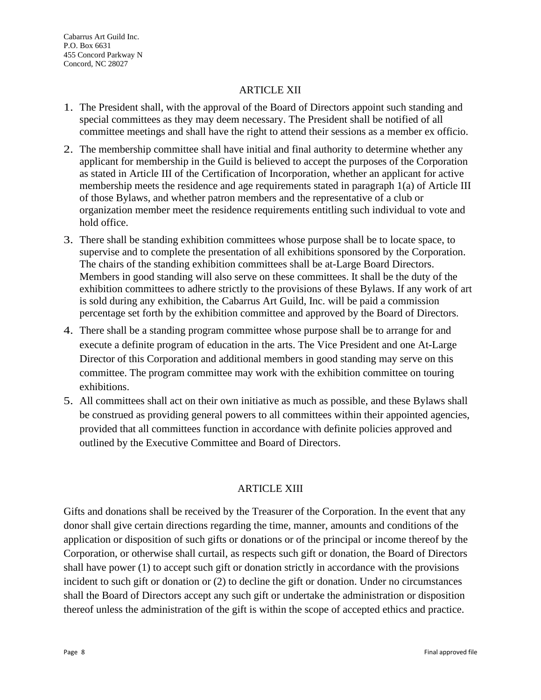### ARTICLE XII

- 1. The President shall, with the approval of the Board of Directors appoint such standing and special committees as they may deem necessary. The President shall be notified of all committee meetings and shall have the right to attend their sessions as a member ex officio.
- 2. The membership committee shall have initial and final authority to determine whether any applicant for membership in the Guild is believed to accept the purposes of the Corporation as stated in Article III of the Certification of Incorporation, whether an applicant for active membership meets the residence and age requirements stated in paragraph 1(a) of Article III of those Bylaws, and whether patron members and the representative of a club or organization member meet the residence requirements entitling such individual to vote and hold office.
- 3. There shall be standing exhibition committees whose purpose shall be to locate space, to supervise and to complete the presentation of all exhibitions sponsored by the Corporation. The chairs of the standing exhibition committees shall be at-Large Board Directors. Members in good standing will also serve on these committees. It shall be the duty of the exhibition committees to adhere strictly to the provisions of these Bylaws. If any work of art is sold during any exhibition, the Cabarrus Art Guild, Inc. will be paid a commission percentage set forth by the exhibition committee and approved by the Board of Directors.
- 4. There shall be a standing program committee whose purpose shall be to arrange for and execute a definite program of education in the arts. The Vice President and one At-Large Director of this Corporation and additional members in good standing may serve on this committee. The program committee may work with the exhibition committee on touring exhibitions.
- 5. All committees shall act on their own initiative as much as possible, and these Bylaws shall be construed as providing general powers to all committees within their appointed agencies, provided that all committees function in accordance with definite policies approved and outlined by the Executive Committee and Board of Directors.

## ARTICLE XIII

Gifts and donations shall be received by the Treasurer of the Corporation. In the event that any donor shall give certain directions regarding the time, manner, amounts and conditions of the application or disposition of such gifts or donations or of the principal or income thereof by the Corporation, or otherwise shall curtail, as respects such gift or donation, the Board of Directors shall have power (1) to accept such gift or donation strictly in accordance with the provisions incident to such gift or donation or (2) to decline the gift or donation. Under no circumstances shall the Board of Directors accept any such gift or undertake the administration or disposition thereof unless the administration of the gift is within the scope of accepted ethics and practice.